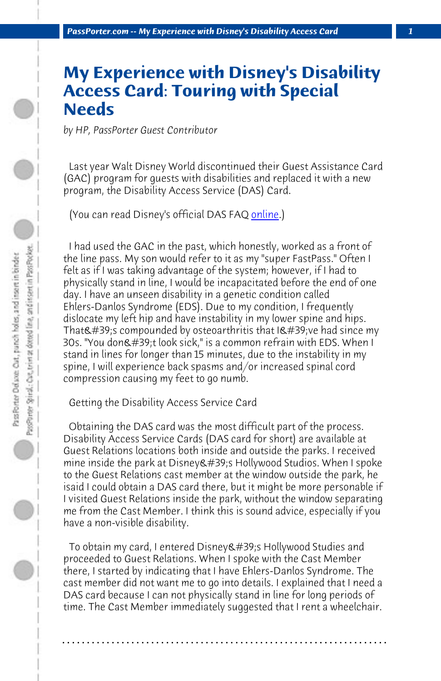*PassPorter.com -- My Experience with Disney's Disability Access Card 1*

# **My Experience with Disney's Disability Access Card: Touring with Special Needs**

*by HP, PassPorter Guest Contributor*

 Last year Walt Disney World discontinued their Guest Assistance Card (GAC) program for guests with disabilities and replaced it with a new program, the Disability Access Service (DAS) Card.

(You can read Disney's official DAS FAQ online.)

 I had used the GAC in the past, which honestly, worked as a front of the line pass. My son would refer to it as my "super FastPass." Often I felt as if I was taking advantage of the system; however, if I had to physically stand in line, I would be incapacitated before the end of one day. I have an unseen disability in a genetic condition called Ehlers-Danlos Syndrome (EDS). Due to my condition, I frequently dislocate my left hip and have instability in my lower spine and hips. That's compounded by osteoarthritis that  $I\&$ #39;ve had since my 30s. "You don't look sick," is a common refrain with EDS. When I stand in lines for longer than 15 minutes, due to the instability in my spine, I will experience back spasms and/or increased spinal cord compression causing my feet to go numb.

 Getting the Disability Access Service Card

 Obtaining the DAS card was the most difficult part of the process. Disability Access Service Cards (DAS card for short) are available at Guest Relations locations both inside and outside the parks. I received mine inside the park at Disney &  $\#39$ ; Hollywood Studios. When I spoke to the Guest Relations cast member at the window outside the park, he isaid I could obtain a DAS card there, but it might be more personable if I visited Guest Relations inside the park, without the window separating me from the Cast Member. I think this is sound advice, especially if you have a non-visible disability.

To obtain my card, I entered Disney's Hollywood Studies and proceeded to Guest Relations. When I spoke with the Cast Member there, I started by indicating that I have Ehlers-Danlos Syndrome. The cast member did not want me to go into details. I explained that I need a DAS card because I can not physically stand in line for long periods of time. The Cast Member immediately suggested that I rent a wheelchair.

**. . . . . . . . . . . . . . . . . . . . . . . . . . . . . . . . . . . . . . . . . . . . . . . . . . . . . . . . . . . . . . . . . .**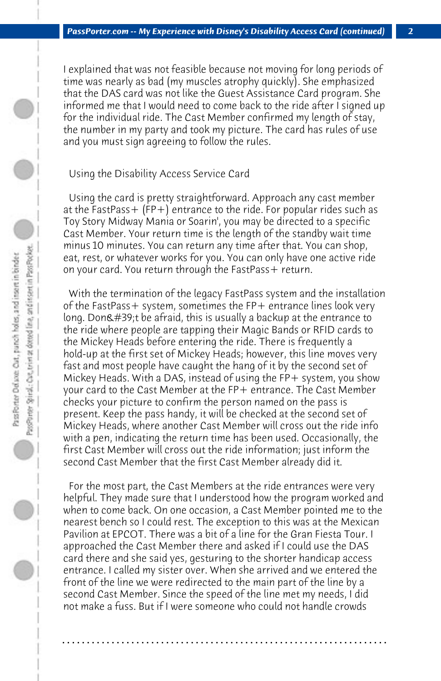I explained that was not feasible because not moving for long periods of time was nearly as bad (my muscles atrophy quickly). She emphasized that the DAS card was not like the Guest Assistance Card program. She informed me that I would need to come back to the ride after I signed up for the individual ride. The Cast Member confirmed my length of stay, the number in my party and took my picture. The card has rules of use and you must sign agreeing to follow the rules.

#### Using the Disability Access Service Card

 Using the card is pretty straightforward. Approach any cast member at the FastPass+ (FP+) entrance to the ride. For popular rides such as Toy Story Midway Mania or Soarin', you may be directed to a specific Cast Member. Your return time is the length of the standby wait time minus 10 minutes. You can return any time after that. You can shop, eat, rest, or whatever works for you. You can only have one active ride on your card. You return through the FastPass + return.

 With the termination of the legacy FastPass system and the installation of the FastPass+ system, sometimes the FP+ entrance lines look very long. Don $\&\#39$ ;t be afraid, this is usually a backup at the entrance to the ride where people are tapping their Magic Bands or RFID cards to the Mickey Heads before entering the ride. There is frequently a hold-up at the first set of Mickey Heads; however, this line moves very fast and most people have caught the hang of it by the second set of Mickey Heads. With a DAS, instead of using the  $FP+$  system, you show your card to the Cast Member at the FP+ entrance. The Cast Member checks your picture to confirm the person named on the pass is present. Keep the pass handy, it will be checked at the second set of Mickey Heads, where another Cast Member will cross out the ride info with a pen, indicating the return time has been used. Occasionally, the first Cast Member will cross out the ride information; just inform the second Cast Member that the first Cast Member already did it.

 For the most part, the Cast Members at the ride entrances were very helpful. They made sure that I understood how the program worked and when to come back. On one occasion, a Cast Member pointed me to the nearest bench so I could rest. The exception to this was at the Mexican Pavilion at EPCOT. There was a bit of a line for the Gran Fiesta Tour. I approached the Cast Member there and asked if I could use the DAS card there and she said yes, gesturing to the shorter handicap access entrance. I called my sister over. When she arrived and we entered the front of the line we were redirected to the main part of the line by a second Cast Member. Since the speed of the line met my needs, I did not make a fuss. But if I were someone who could not handle crowds

**. . . . . . . . . . . . . . . . . . . . . . . . . . . . . . . . . . . . . . . . . . . . . . . . . . . . . . . . . . . . . . . . . .**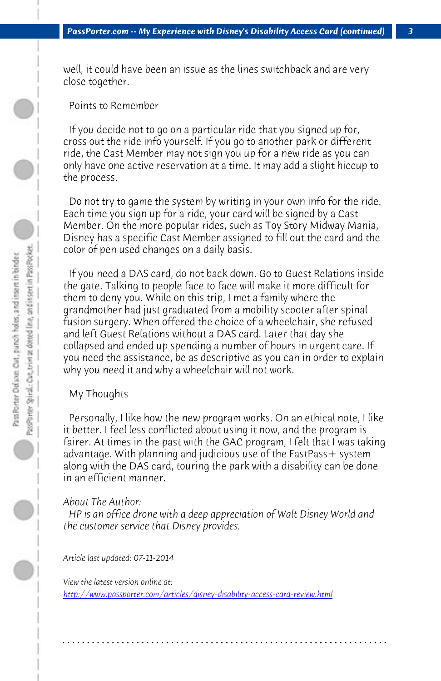#### *PassPorter.com -- My Experience with Disney's Disability Access Card (continued) 3*

well, it could have been an issue as the lines switchback and are very close together.

### Points to Remember

 If you decide not to go on a particular ride that you signed up for, cross out the ride info yourself. If you go to another park or different ride, the Cast Member may not sign you up for a new ride as you can only have one active reservation at a time. It may add a slight hiccup to the process.

 Do not try to game the system by writing in your own info for the ride. Each time you sign up for a ride, your card will be signed by a Cast Member. On the more popular rides, such as Toy Story Midway Mania, Disney has a specific Cast Member assigned to fill out the card and the color of pen used changes on a daily basis.

 If you need a DAS card, do not back down. Go to Guest Relations inside the gate. Talking to people face to face will make it more difficult for them to deny you. While on this trip, I met a family where the grandmother had just graduated from a mobility scooter after spinal fusion surgery. When offered the choice of a wheelchair, she refused and left Guest Relations without a DAS card. Later that day she collapsed and ended up spending a number of hours in urgent care. If you need the assistance, be as descriptive as you can in order to explain why you need it and why a wheelchair will not work.

## [My Thoughts](http://www.passporter.com/articles/disney-disability-access-card-review.php)

 Personally, I like how the new program works. On an ethical note, I like it better. I feel less conflicted about using it now, and the program is fairer. At times in the past with the GAC program, I felt that I was taking advantage. With planning and judicious use of the FastPass+ system along with the DAS card, touring the park with a disability can be done in an efficient manner.

#### *About The Author:*

 *HP is an office drone with a deep appreciation of Walt Disney World and the customer service that Disney provides.*

**. . . . . . . . . . . . . . . . . . . . . . . . . . . . . . . . . . . . . . . . . . . . . . . . . . . . . . . . . . . . . . . . . .**

*Article last updated: 07-11-2014*

*View the latest version online at: http://www.passporter.com/articles/disney-disability-access-card-review.html*